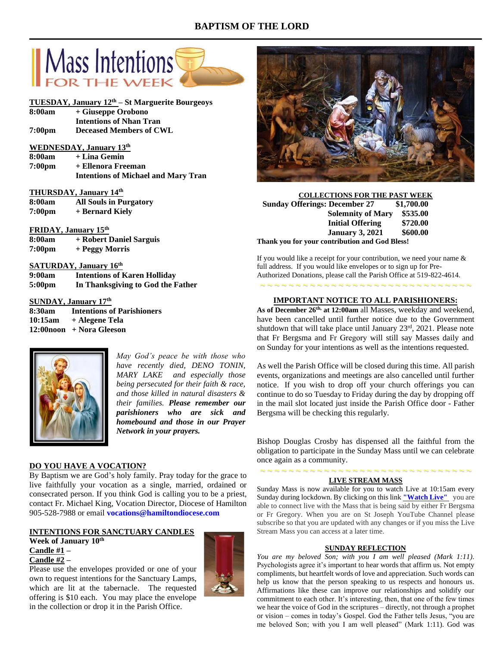# **BAPTISM OF THE LORD**



# **TUESDAY, January 12th – St Marguerite Bourgeoys**

- **8:00am + Giuseppe Orobono Intentions of Nhan Tran 7:00pm Deceased Members of CWL**
- **WEDNESDAY, January 13th**
- **8:00am + Lina Gemin 7:00pm + Ellenora Freeman Intentions of Michael and Mary Tran**

#### **THURSDAY, January 14th**

| 8:00am             | <b>All Souls in Purgatory</b> |
|--------------------|-------------------------------|
| 7:00 <sub>pm</sub> | + Bernard Kiely               |

## **FRIDAY, January 15th**

| 8:00am             | + Robert Daniel Sarguis |
|--------------------|-------------------------|
| 7:00 <sub>pm</sub> | + Peggy Morris          |

## **SATURDAY, January 16th**

| 9:00am             | <b>Intentions of Karen Holliday</b> |
|--------------------|-------------------------------------|
| 5:00 <sub>pm</sub> | In Thanksgiving to God the Father   |

## **SUNDAY, January 17 th**

| 8:30am  | <b>Intentions of Parishioners</b> |
|---------|-----------------------------------|
| 10:15am | + Alegene Tela                    |
|         | 12:00noon + Nora Gleeson          |



*May God's peace be with those who have recently died, DENO TONIN, MARY LAKE and especially those being persecuted for their faith & race, and those killed in natural disasters & their families. Please remember our parishioners who are sick and homebound and those in our Prayer Network in your prayers.*

### **DO YOU HAVE A VOCATION?**

By Baptism we are God's holy family. Pray today for the grace to live faithfully your vocation as a single, married, ordained or consecrated person. If you think God is calling you to be a priest, contact Fr. Michael King, Vocation Director, Diocese of Hamilton 905-528-7988 or email **vocations@hamiltondiocese.com**

# **INTENTIONS FOR SANCTUARY CANDLES**

**Week of January 10th Candle #1 – Candle #2 –**

Please use the envelopes provided or one of your own to request intentions for the Sanctuary Lamps, which are lit at the tabernacle. The requested offering is \$10 each. You may place the envelope in the collection or drop it in the Parish Office.





| <b>COLLECTIONS FOR THE PAST WEEK</b>           |            |  |
|------------------------------------------------|------------|--|
| <b>Sunday Offerings: December 27</b>           | \$1,700.00 |  |
| <b>Solemnity of Mary</b>                       | \$535.00   |  |
| <b>Initial Offering</b>                        | \$720.00   |  |
| <b>January 3, 2021</b>                         | \$600.00   |  |
| Thank you for your contribution and God Bless! |            |  |

If you would like a receipt for your contribution, we need your name & full address. If you would like envelopes or to sign up for Pre-Authorized Donations, please call the Parish Office at 519-822-4614.

# **IMPORTANT NOTICE TO ALL PARISHIONERS:**

~ ~ ~ ~ ~ ~ ~ ~ ~ ~ ~ ~ ~ ~ ~ ~ ~ ~ ~ ~ ~ ~ ~ ~ ~ ~ ~ ~ ~ ~

**As of December 26th, at 12:00am** all Masses, weekday and weekend, have been cancelled until further notice due to the Government shutdown that will take place until January 23rd, 2021. Please note that Fr Bergsma and Fr Gregory will still say Masses daily and on Sunday for your intentions as well as the intentions requested.

As well the Parish Office will be closed during this time. All parish events, organizations and meetings are also cancelled until further notice. If you wish to drop off your church offerings you can continue to do so Tuesday to Friday during the day by dropping off in the mail slot located just inside the Parish Office door - Father Bergsma will be checking this regularly.

Bishop Douglas Crosby has dispensed all the faithful from the obligation to participate in the Sunday Mass until we can celebrate once again as a community.

## ~ ~ ~ ~ ~ ~ ~ ~ ~ ~ ~ ~ ~ ~ ~ ~ ~ ~ ~ ~ ~ ~ ~ ~ ~ ~ ~ ~ ~ ~ **LIVE STREAM MASS**

Sunday Mass is now available for you to watch Live at 10:15am every Sunday during lockdown. By clicking on this link **["Watch](https://www.youtube.com/channel/UCL59hxegD__FDJSdMDrt31w) Live"** you are able to connect live with the Mass that is being said by either Fr Bergsma or Fr Gregory. When you are on St Joseph YouTube Channel please subscribe so that you are updated with any changes or if you miss the Live Stream Mass you can access at a later time.

### **SUNDAY REFLECTION**

You are my beloved Son; with you I am well pleased (Mark 1:11). Psychologists agree it's important to hear words that affirm us. Not empty compliments, but heartfelt words of love and appreciation. Such words can help us know that the person speaking to us respects and honours us. Affirmations like these can improve our relationships and solidify our commitment to each other. It's interesting, then, that one of the few times we hear the voice of God in the scriptures – directly, not through a prophet or vision – comes in today's Gospel. God the Father tells Jesus, "you are me beloved Son; with you I am well pleased" (Mark 1:11). God was